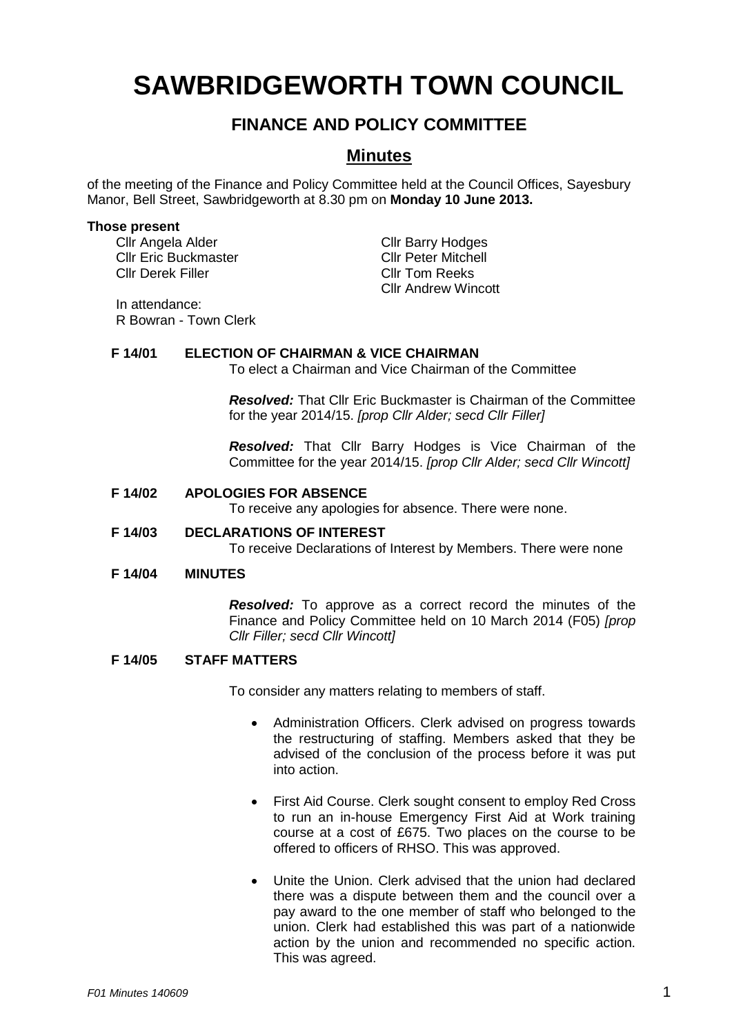# **SAWBRIDGEWORTH TOWN COUNCIL**

## **FINANCE AND POLICY COMMITTEE**

### **Minutes**

of the meeting of the Finance and Policy Committee held at the Council Offices, Sayesbury Manor, Bell Street, Sawbridgeworth at 8.30 pm on **Monday 10 June 2013.**

#### **Those present**

Cllr Angela Alder Cllr Barry Hodges<br>Cllr Eric Buckmaster Cllr Cllr Peter Mitchell Cllr Eric Buckmaster Cllr Derek Filler Cllr Tom Reeks

Cllr Andrew Wincott

In attendance: R Bowran - Town Clerk

#### **F 14/01 ELECTION OF CHAIRMAN & VICE CHAIRMAN**

To elect a Chairman and Vice Chairman of the Committee

*Resolved:* That Cllr Eric Buckmaster is Chairman of the Committee for the year 2014/15. *[prop Cllr Alder; secd Cllr Filler]*

*Resolved:* That Cllr Barry Hodges is Vice Chairman of the Committee for the year 2014/15. *[prop Cllr Alder; secd Cllr Wincott]*

#### **F 14/02 APOLOGIES FOR ABSENCE**

To receive any apologies for absence. There were none.

#### **F 14/03 DECLARATIONS OF INTEREST**

To receive Declarations of Interest by Members. There were none

#### **F 14/04 MINUTES**

*Resolved:* To approve as a correct record the minutes of the Finance and Policy Committee held on 10 March 2014 (F05) *[prop Cllr Filler; secd Cllr Wincott]*

#### **F 14/05 STAFF MATTERS**

To consider any matters relating to members of staff.

- Administration Officers. Clerk advised on progress towards the restructuring of staffing. Members asked that they be advised of the conclusion of the process before it was put into action.
- First Aid Course. Clerk sought consent to employ Red Cross to run an in-house Emergency First Aid at Work training course at a cost of £675. Two places on the course to be offered to officers of RHSO. This was approved.
- Unite the Union. Clerk advised that the union had declared there was a dispute between them and the council over a pay award to the one member of staff who belonged to the union. Clerk had established this was part of a nationwide action by the union and recommended no specific action. This was agreed.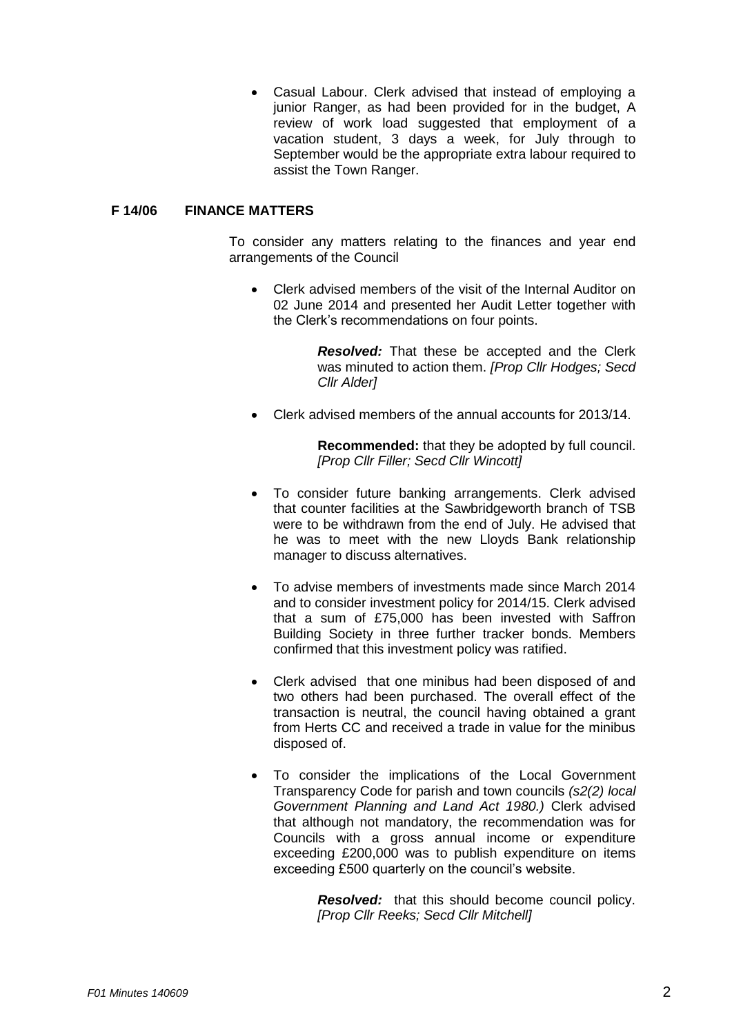Casual Labour. Clerk advised that instead of employing a junior Ranger, as had been provided for in the budget, A review of work load suggested that employment of a vacation student, 3 days a week, for July through to September would be the appropriate extra labour required to assist the Town Ranger.

#### **F 14/06 FINANCE MATTERS**

To consider any matters relating to the finances and year end arrangements of the Council

 Clerk advised members of the visit of the Internal Auditor on 02 June 2014 and presented her Audit Letter together with the Clerk's recommendations on four points.

> *Resolved:* That these be accepted and the Clerk was minuted to action them. *[Prop Cllr Hodges; Secd Cllr Alder]*

Clerk advised members of the annual accounts for 2013/14.

**Recommended:** that they be adopted by full council. *[Prop Cllr Filler; Secd Cllr Wincott]*

- To consider future banking arrangements. Clerk advised that counter facilities at the Sawbridgeworth branch of TSB were to be withdrawn from the end of July. He advised that he was to meet with the new Lloyds Bank relationship manager to discuss alternatives.
- To advise members of investments made since March 2014 and to consider investment policy for 2014/15. Clerk advised that a sum of £75,000 has been invested with Saffron Building Society in three further tracker bonds. Members confirmed that this investment policy was ratified.
- Clerk advised that one minibus had been disposed of and two others had been purchased. The overall effect of the transaction is neutral, the council having obtained a grant from Herts CC and received a trade in value for the minibus disposed of.
- To consider the implications of the Local Government Transparency Code for parish and town councils *(s2(2) local Government Planning and Land Act 1980.)* Clerk advised that although not mandatory, the recommendation was for Councils with a gross annual income or expenditure exceeding £200,000 was to publish expenditure on items exceeding £500 quarterly on the council's website.

*Resolved:* that this should become council policy. *[Prop Cllr Reeks; Secd Cllr Mitchell]*